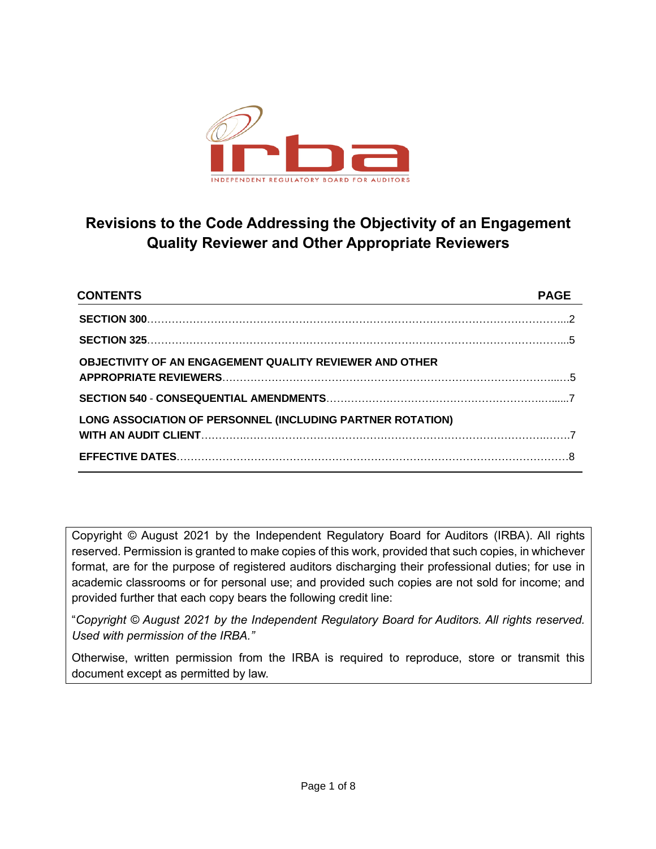

# **Revisions to the Code Addressing the Objectivity of an Engagement Quality Reviewer and Other Appropriate Reviewers**

| <b>CONTENTS</b>                                                | <b>PAGE</b> |
|----------------------------------------------------------------|-------------|
|                                                                |             |
|                                                                |             |
| <b>OBJECTIVITY OF AN ENGAGEMENT QUALITY REVIEWER AND OTHER</b> |             |
|                                                                |             |
| LONG ASSOCIATION OF PERSONNEL (INCLUDING PARTNER ROTATION)     |             |
|                                                                |             |

Copyright © August 2021 by the Independent Regulatory Board for Auditors (IRBA). All rights reserved. Permission is granted to make copies of this work, provided that such copies, in whichever format, are for the purpose of registered auditors discharging their professional duties; for use in academic classrooms or for personal use; and provided such copies are not sold for income; and provided further that each copy bears the following credit line:

"*Copyright © August 2021 by the Independent Regulatory Board for Auditors. All rights reserved. Used with permission of the IRBA."*

Otherwise, written permission from the IRBA is required to reproduce, store or transmit this document except as permitted by law.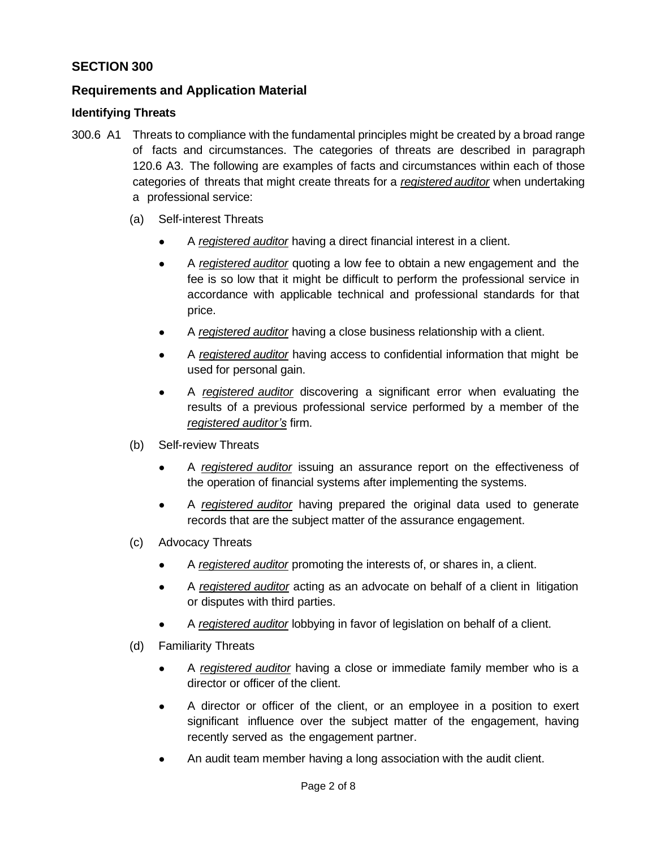# **SECTION 300**

# **Requirements and Application Material**

### **Identifying Threats**

- 300.6 A1 Threats to compliance with the fundamental principles might be created by a broad range of facts and circumstances. The categories of threats are described in paragraph 120.6 A3. The following are examples of facts and circumstances within each of those categories of threats that might create threats for a *registered auditor* when undertaking a professional service:
	- (a) Self-interest Threats
		- A *registered auditor* having a direct financial interest in a client.
		- A *registered auditor* quoting a low fee to obtain a new engagement and the fee is so low that it might be difficult to perform the professional service in accordance with applicable technical and professional standards for that price.
		- A *registered auditor* having a close business relationship with a client.
		- A *registered auditor* having access to confidential information that might be used for personal gain.
		- A *registered auditor* discovering a significant error when evaluating the results of a previous professional service performed by a member of the *registered auditor's* firm.
	- (b) Self-review Threats
		- A *registered auditor* issuing an assurance report on the effectiveness of the operation of financial systems after implementing the systems.
		- A registered auditor having prepared the original data used to generate records that are the subject matter of the assurance engagement.
	- (c) Advocacy Threats
		- A *registered auditor* promoting the interests of, or shares in, a client.
		- A *registered auditor* acting as an advocate on behalf of a client in litigation or disputes with third parties.
		- A registered auditor lobbying in favor of legislation on behalf of a client.
	- (d) Familiarity Threats
		- A *registered auditor* having a close or immediate family member who is a director or officer of the client.
		- A director or officer of the client, or an employee in a position to exert significant influence over the subject matter of the engagement, having recently served as the engagement partner.
		- An audit team member having a long association with the audit client.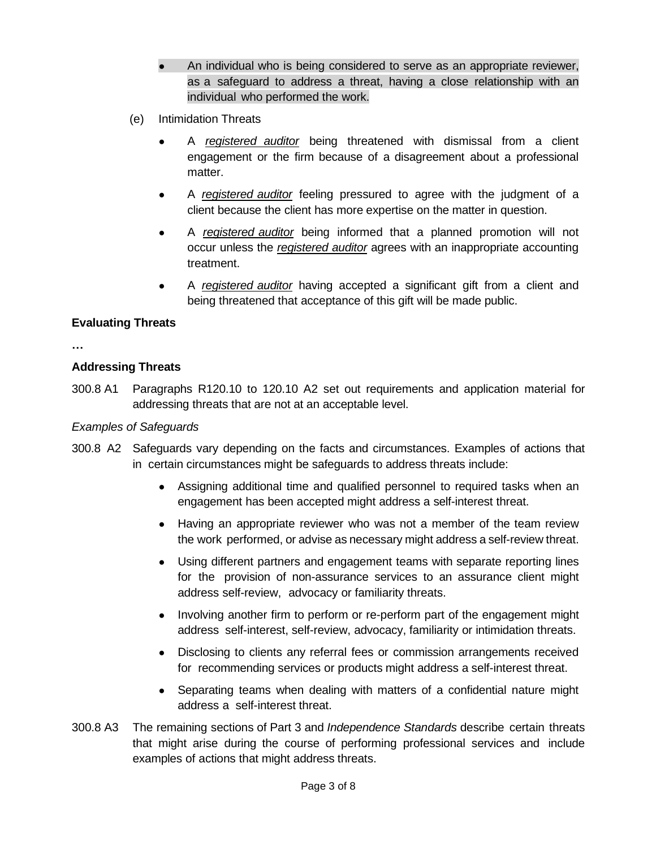- An individual who is being considered to serve as an appropriate reviewer, as a safeguard to address a threat, having a close relationship with an individual who performed the work.
- (e) Intimidation Threats
	- A *registered auditor* being threatened with dismissal from a client engagement or the firm because of a disagreement about a professional matter.
	- A *registered auditor* feeling pressured to agree with the judgment of a client because the client has more expertise on the matter in question.
	- A *registered auditor* being informed that a planned promotion will not occur unless the *registered auditor* agrees with an inappropriate accounting treatment.
	- A *registered auditor* having accepted a significant gift from a client and being threatened that acceptance of this gift will be made public.

### **Evaluating Threats**

**…**

### **Addressing Threats**

300.8 A1 Paragraphs R120.10 to 120.10 A2 set out requirements and application material for addressing threats that are not at an acceptable level.

### *Examples of Safeguards*

- 300.8 A2 Safeguards vary depending on the facts and circumstances. Examples of actions that in certain circumstances might be safeguards to address threats include:
	- Assigning additional time and qualified personnel to required tasks when an engagement has been accepted might address a self-interest threat.
	- Having an appropriate reviewer who was not a member of the team review the work performed, or advise as necessary might address a self-review threat.
	- Using different partners and engagement teams with separate reporting lines for the provision of non-assurance services to an assurance client might address self-review, advocacy or familiarity threats.
	- Involving another firm to perform or re-perform part of the engagement might address self-interest, self-review, advocacy, familiarity or intimidation threats.
	- Disclosing to clients any referral fees or commission arrangements received for recommending services or products might address a self-interest threat.
	- Separating teams when dealing with matters of a confidential nature might address a self-interest threat.
- 300.8 A3 The remaining sections of Part 3 and *Independence Standards* describe certain threats that might arise during the course of performing professional services and include examples of actions that might address threats.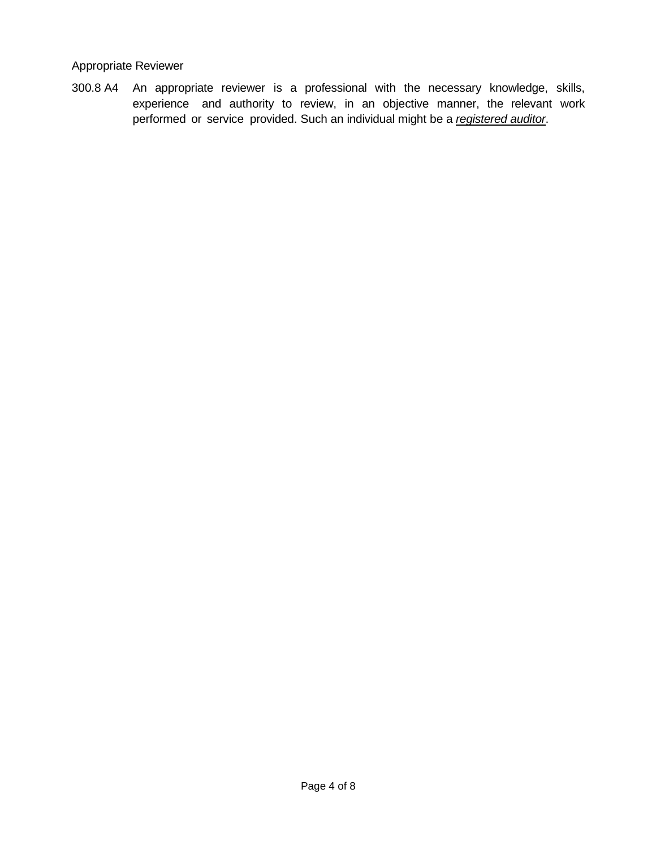### Appropriate Reviewer

300.8 A4 An appropriate reviewer is a professional with the necessary knowledge, skills, experience and authority to review, in an objective manner, the relevant work performed or service provided. Such an individual might be a *registered auditor*.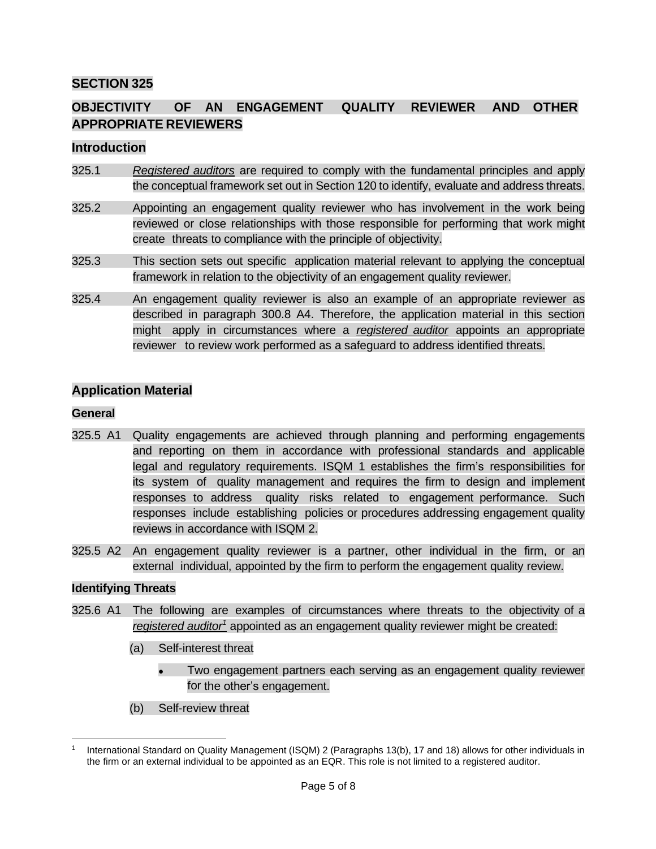### **SECTION 325**

# **OBJECTIVITY OF AN ENGAGEMENT QUALITY REVIEWER AND OTHER APPROPRIATE REVIEWERS**

### **Introduction**

- 325.1 *Registered auditors* are required to comply with the fundamental principles and apply the conceptual framework set out in Section 120 to identify, evaluate and address threats.
- 325.2 Appointing an engagement quality reviewer who has involvement in the work being reviewed or close relationships with those responsible for performing that work might create threats to compliance with the principle of objectivity.
- 325.3 This section sets out specific application material relevant to applying the conceptual framework in relation to the objectivity of an engagement quality reviewer.
- 325.4 An engagement quality reviewer is also an example of an appropriate reviewer as described in paragraph 300.8 A4. Therefore, the application material in this section might apply in circumstances where a *registered auditor* appoints an appropriate reviewer to review work performed as a safeguard to address identified threats.

### **Application Material**

#### **General**

- 325.5 A1 Quality engagements are achieved through planning and performing engagements and reporting on them in accordance with professional standards and applicable legal and regulatory requirements. ISQM 1 establishes the firm's responsibilities for its system of quality management and requires the firm to design and implement responses to address quality risks related to engagement performance. Such responses include establishing policies or procedures addressing engagement quality reviews in accordance with ISQM 2.
- 325.5 A2 An engagement quality reviewer is a partner, other individual in the firm, or an external individual, appointed by the firm to perform the engagement quality review.

#### **Identifying Threats**

- 325.6 A1 The following are examples of circumstances where threats to the objectivity of a *registered auditor<sup>1</sup>* appointed as an engagement quality reviewer might be created:
	- (a) Self-interest threat
		- Two engagement partners each serving as an engagement quality reviewer for the other's engagement.
	- (b) Self-review threat

<sup>1</sup> International Standard on Quality Management (ISQM) 2 (Paragraphs 13(b), 17 and 18) allows for other individuals in the firm or an external individual to be appointed as an EQR. This role is not limited to a registered auditor.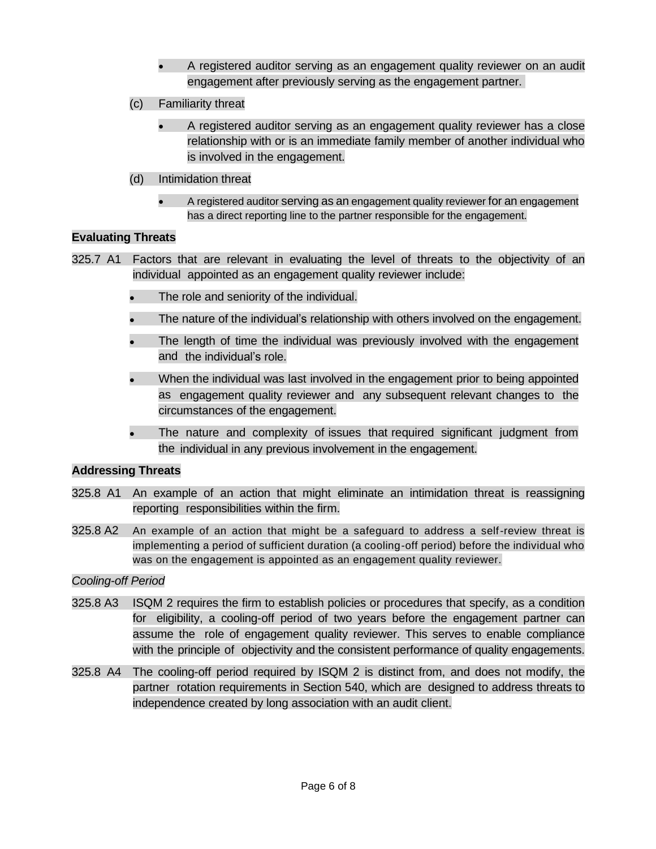- A registered auditor serving as an engagement quality reviewer on an audit engagement after previously serving as the engagement partner.
- (c) Familiarity threat
	- A registered auditor serving as an engagement quality reviewer has a close relationship with or is an immediate family member of another individual who is involved in the engagement.
- (d) Intimidation threat
	- A registered auditor serving as an engagement quality reviewer for an engagement has a direct reporting line to the partner responsible for the engagement.

### **Evaluating Threats**

- 325.7 A1 Factors that are relevant in evaluating the level of threats to the objectivity of an individual appointed as an engagement quality reviewer include:
	- The role and seniority of the individual.
	- The nature of the individual's relationship with others involved on the engagement.
	- The length of time the individual was previously involved with the engagement and the individual's role.
	- When the individual was last involved in the engagement prior to being appointed as engagement quality reviewer and any subsequent relevant changes to the circumstances of the engagement.
	- The nature and complexity of issues that required significant judgment from the individual in any previous involvement in the engagement.

# **Addressing Threats**

- 325.8 A1 An example of an action that might eliminate an intimidation threat is reassigning reporting responsibilities within the firm.
- 325.8 A2 An example of an action that might be a safeguard to address a self-review threat is implementing a period of sufficient duration (a cooling-off period) before the individual who was on the engagement is appointed as an engagement quality reviewer.

# *Cooling-off Period*

- 325.8 A3 ISQM 2 requires the firm to establish policies or procedures that specify, as a condition for eligibility, a cooling-off period of two years before the engagement partner can assume the role of engagement quality reviewer. This serves to enable compliance with the principle of objectivity and the consistent performance of quality engagements.
- 325.8 A4 The cooling-off period required by ISQM 2 is distinct from, and does not modify, the partner rotation requirements in Section 540, which are designed to address threats to independence created by long association with an audit client.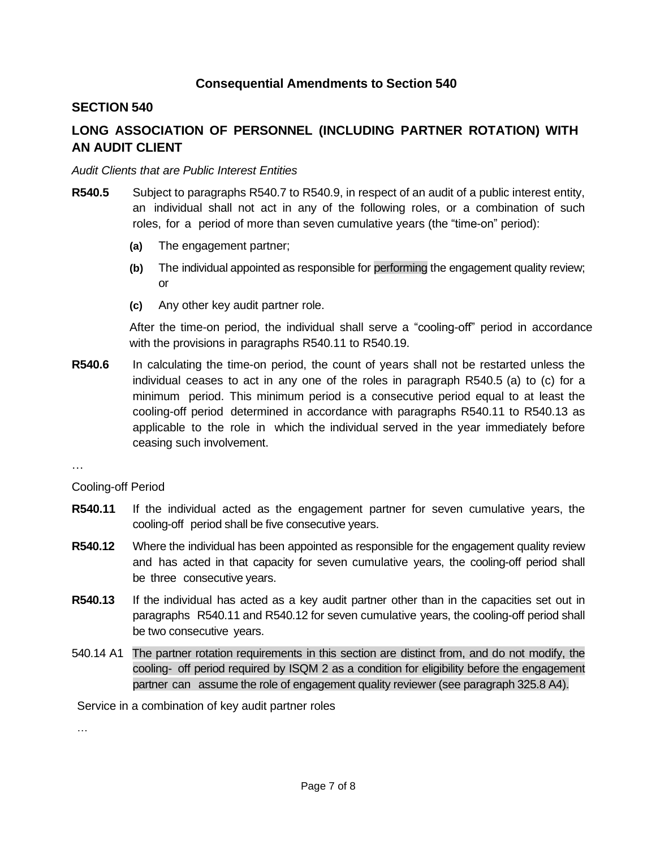### **Consequential Amendments to Section 540**

### **SECTION 540**

# **LONG ASSOCIATION OF PERSONNEL (INCLUDING PARTNER ROTATION) WITH AN AUDIT CLIENT**

#### *Audit Clients that are Public Interest Entities*

- **R540.5** Subject to paragraphs R540.7 to R540.9, in respect of an audit of a public interest entity, an individual shall not act in any of the following roles, or a combination of such roles, for a period of more than seven cumulative years (the "time-on" period):
	- **(a)** The engagement partner;
	- **(b)** The individual appointed as responsible for performing the engagement quality review; or
	- **(c)** Any other key audit partner role.

After the time-on period, the individual shall serve a "cooling-off" period in accordance with the provisions in paragraphs R540.11 to R540.19.

- **R540.6** In calculating the time-on period, the count of years shall not be restarted unless the individual ceases to act in any one of the roles in paragraph R540.5 (a) to (c) for a minimum period. This minimum period is a consecutive period equal to at least the cooling-off period determined in accordance with paragraphs R540.11 to R540.13 as applicable to the role in which the individual served in the year immediately before ceasing such involvement.
- …

#### Cooling-off Period

- **R540.11** If the individual acted as the engagement partner for seven cumulative years, the cooling-off period shall be five consecutive years.
- **R540.12** Where the individual has been appointed as responsible for the engagement quality review and has acted in that capacity for seven cumulative years, the cooling-off period shall be three consecutive years.
- **R540.13** If the individual has acted as a key audit partner other than in the capacities set out in paragraphs R540.11 and R540.12 for seven cumulative years, the cooling-off period shall be two consecutive years.
- 540.14 A1 The partner rotation requirements in this section are distinct from, and do not modify, the cooling- off period required by ISQM 2 as a condition for eligibility before the engagement partner can assume the role of engagement quality reviewer (see paragraph 325.8 A4).

Service in a combination of key audit partner roles